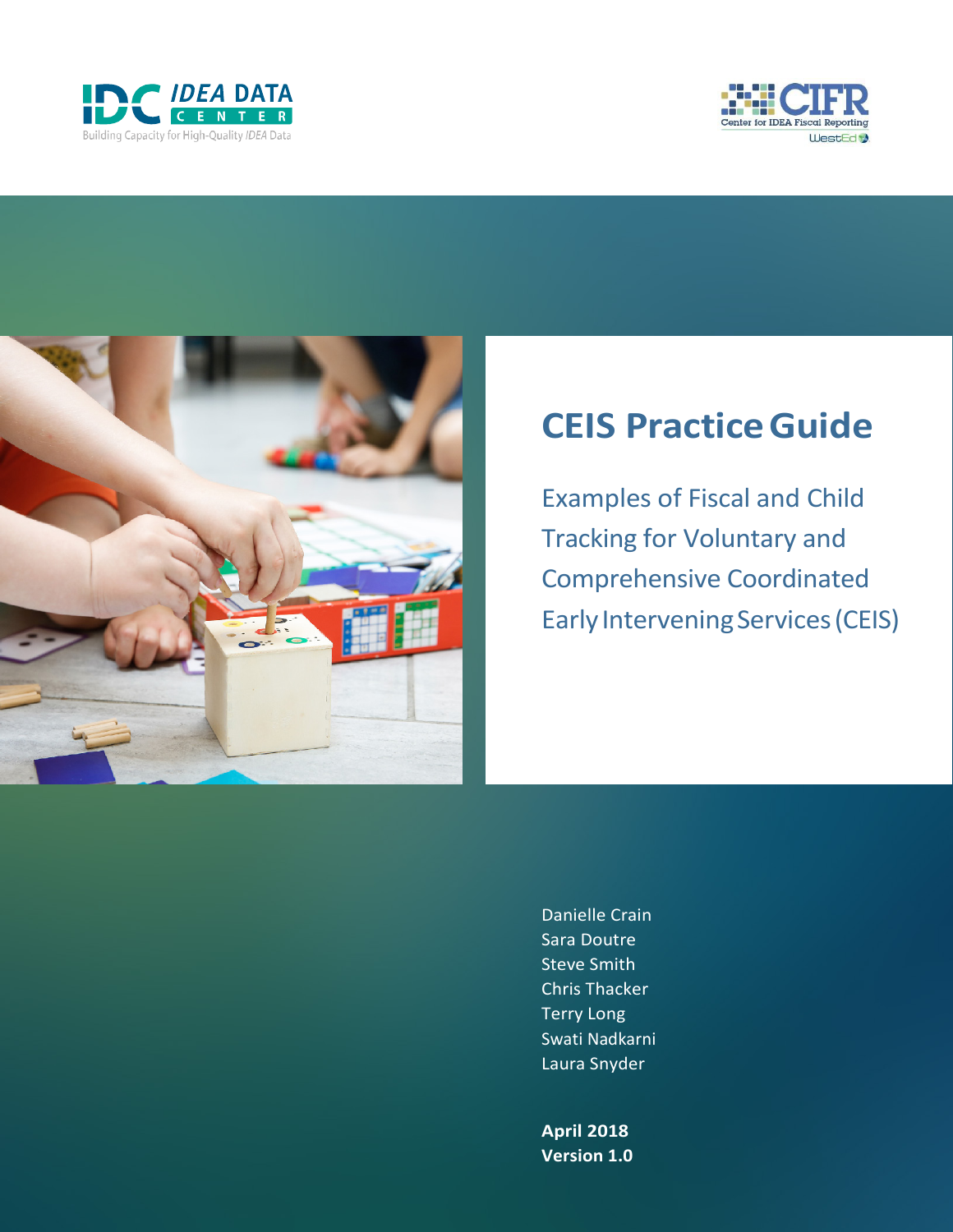





# **CEIS PracticeGuide**

Examples of Fiscal and Child Tracking for Voluntary and Comprehensive Coordinated Early Intervening Services (CEIS)

Danielle Crain Sara Doutre Steve Smith Chris Thacker Terry Long Swati Nadkarni Laura Snyder

**April 2018 Version 1.0**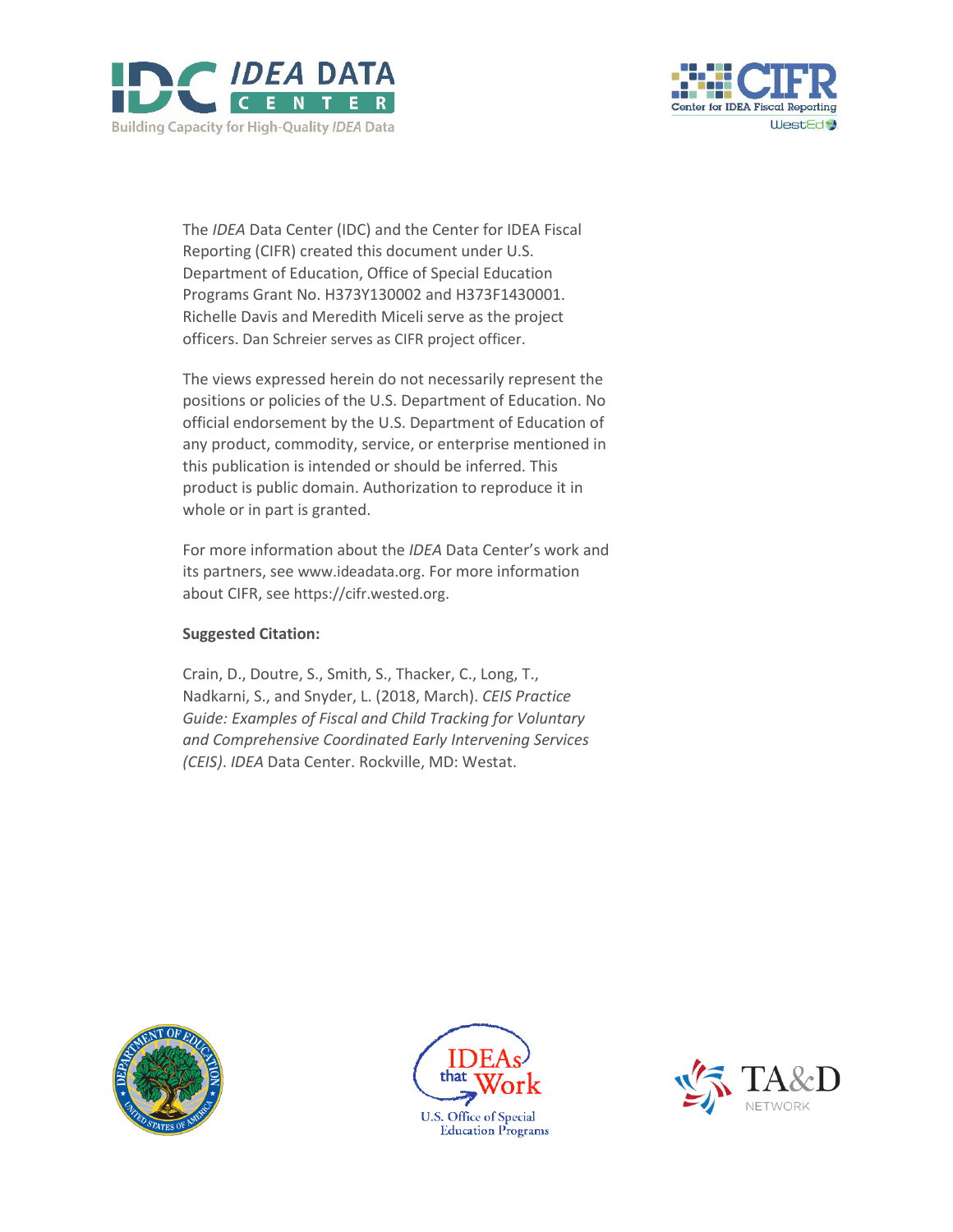



The *IDEA* Data Center (IDC) and the Center for IDEA Fiscal Reporting (CIFR) created this document under U.S. Department of Education, Office of Special Education Programs Grant No. H373Y130002 and H373F1430001. Richelle Davis and Meredith Miceli serve as the project officers. Dan Schreier serves as CIFR project officer.

The views expressed herein do not necessarily represent the positions or policies of the U.S. Department of Education. No official endorsement by the U.S. Department of Education of any product, commodity, service, or enterprise mentioned in this publication is intended or should be inferred. This product is public domain. Authorization to reproduce it in whole or in part is granted.

For more information about the *IDEA* Data Center's work and its partners, see [www.ideadata.org.](http://www.ideadata.org/) For more information about CIFR, see [https://cifr.wested.org.](https://cifr.wested.org/)

## **Suggested Citation:**

Crain, D., Doutre, S., Smith, S., Thacker, C., Long, T., Nadkarni, S., and Snyder, L. (2018, March). *CEIS Practice Guide: Examples of Fiscal and Child Tracking for Voluntary and Comprehensive Coordinated Early Intervening Services (CEIS)*. *IDEA* Data Center. Rockville, MD: Westat.





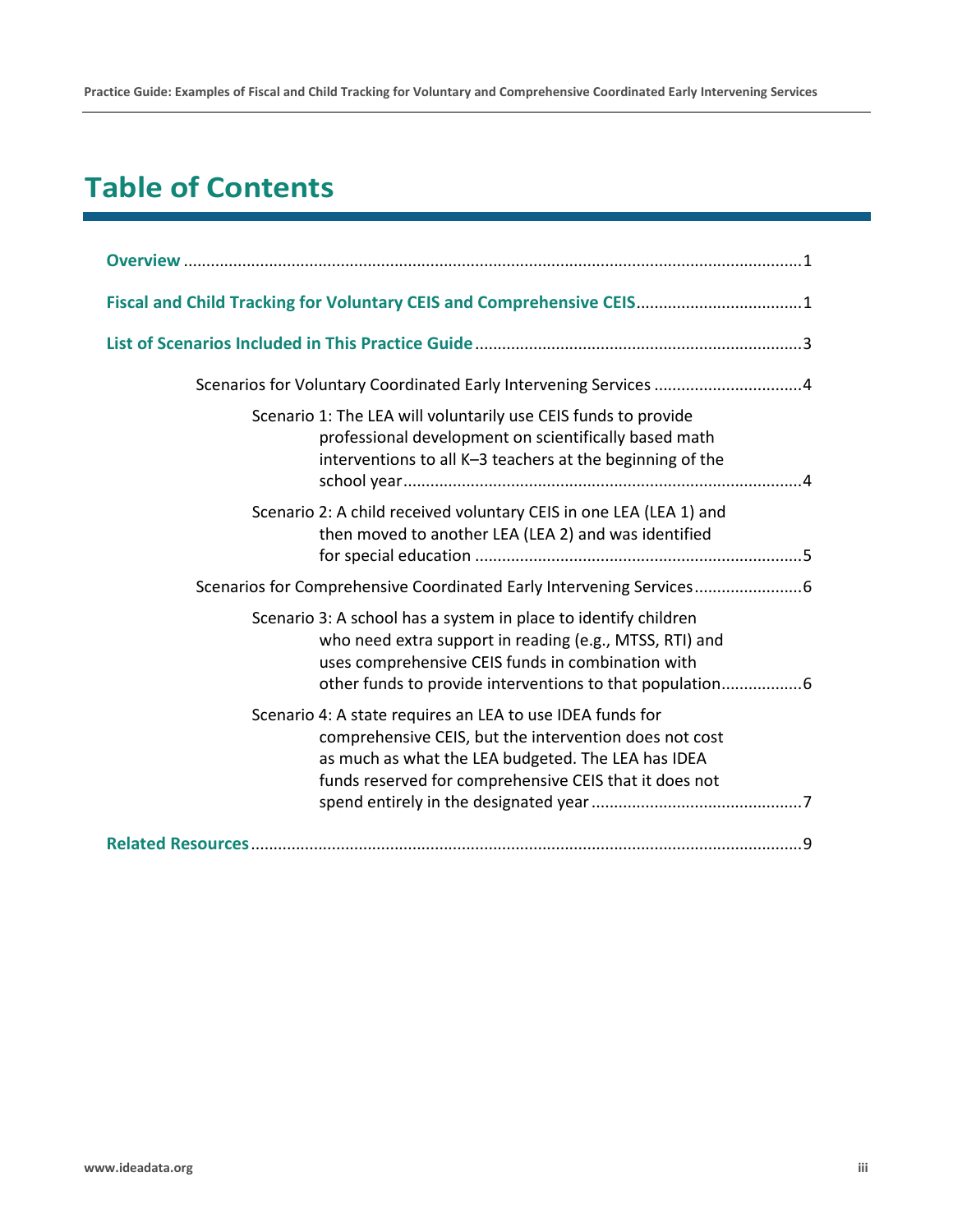**Practice Guide: Examples of Fiscal and Child Tracking for Voluntary and Comprehensive Coordinated Early Intervening Services**

# **Table of Contents**

| Fiscal and Child Tracking for Voluntary CEIS and Comprehensive CEIS1                                                                                                                                                                |
|-------------------------------------------------------------------------------------------------------------------------------------------------------------------------------------------------------------------------------------|
|                                                                                                                                                                                                                                     |
| Scenarios for Voluntary Coordinated Early Intervening Services 4                                                                                                                                                                    |
| Scenario 1: The LEA will voluntarily use CEIS funds to provide<br>professional development on scientifically based math<br>interventions to all K-3 teachers at the beginning of the                                                |
| Scenario 2: A child received voluntary CEIS in one LEA (LEA 1) and<br>then moved to another LEA (LEA 2) and was identified                                                                                                          |
| Scenarios for Comprehensive Coordinated Early Intervening Services                                                                                                                                                                  |
| Scenario 3: A school has a system in place to identify children<br>who need extra support in reading (e.g., MTSS, RTI) and<br>uses comprehensive CEIS funds in combination with                                                     |
| Scenario 4: A state requires an LEA to use IDEA funds for<br>comprehensive CEIS, but the intervention does not cost<br>as much as what the LEA budgeted. The LEA has IDEA<br>funds reserved for comprehensive CEIS that it does not |
|                                                                                                                                                                                                                                     |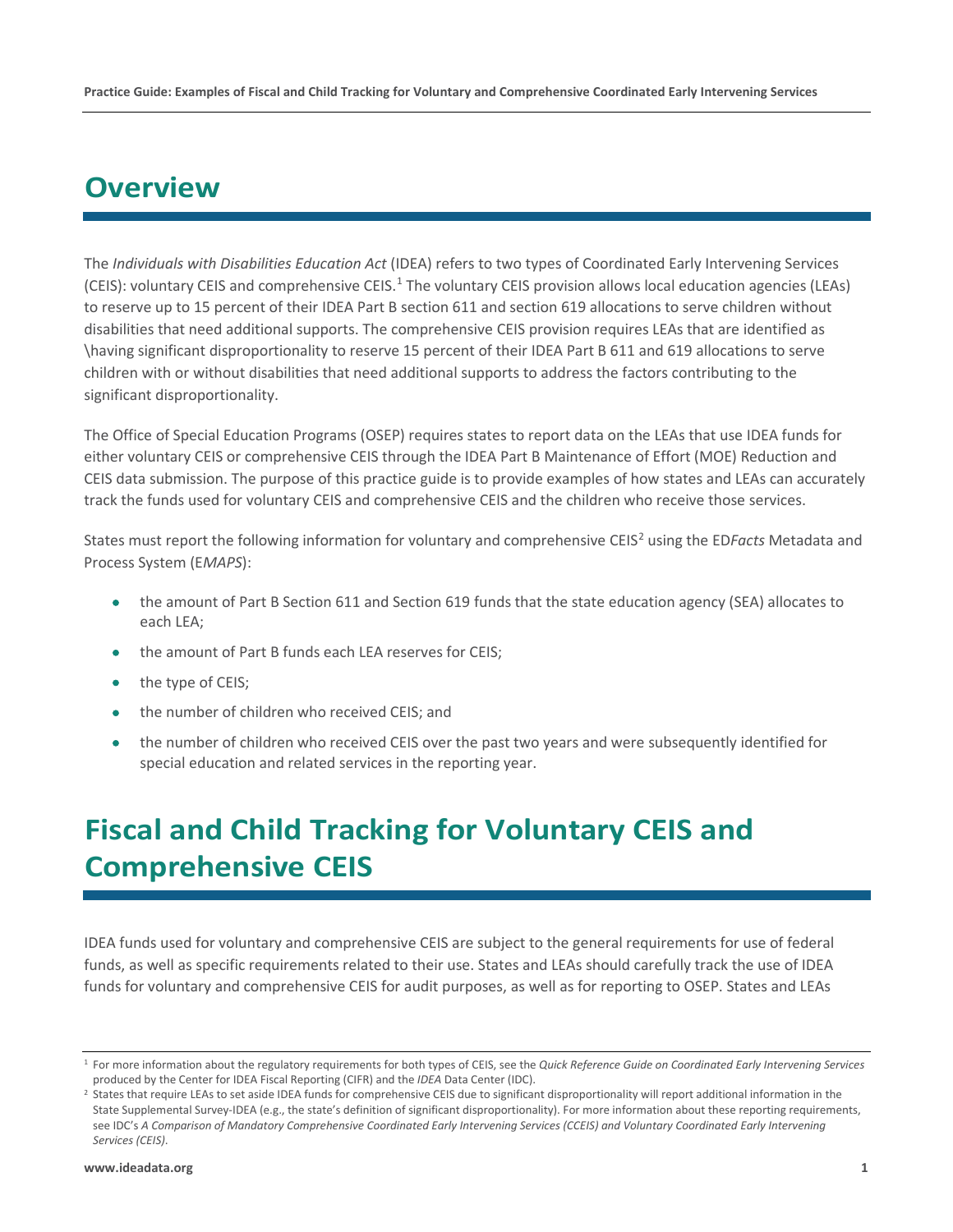# <span id="page-3-0"></span>**Overview**

The *Individuals with Disabilities Education Act* (IDEA) refers to two types of Coordinated Early Intervening Services (CEIS): voluntary CEIS and comprehensive CEIS.<sup>[1](#page-3-2)</sup> The voluntary CEIS provision allows local education agencies (LEAs) to reserve up to 15 percent of their IDEA Part B section 611 and section 619 allocations to serve children without disabilities that need additional supports. The comprehensive CEIS provision requires LEAs that are identified as \having significant disproportionality to reserve 15 percent of their IDEA Part B 611 and 619 allocations to serve children with or without disabilities that need additional supports to address the factors contributing to the significant disproportionality.

The Office of Special Education Programs (OSEP) requires states to report data on the LEAs that use IDEA funds for either voluntary CEIS or comprehensive CEIS through the IDEA Part B Maintenance of Effort (MOE) Reduction and CEIS data submission. The purpose of this practice guide is to provide examples of how states and LEAs can accurately track the funds used for voluntary CEIS and comprehensive CEIS and the children who receive those services.

States must report the following information for voluntary and comprehensive CEIS<sup>[2](#page-3-3)</sup> using the ED*Facts* Metadata and Process System (E*MAPS*):

- the amount of Part B Section 611 and Section 619 funds that the state education agency (SEA) allocates to each LEA;
- the amount of Part B funds each LEA reserves for CEIS;
- the type of CEIS;
- the number of children who received CEIS; and
- the number of children who received CEIS over the past two years and were subsequently identified for special education and related services in the reporting year.

# <span id="page-3-1"></span>**Fiscal and Child Tracking for Voluntary CEIS and Comprehensive CEIS**

IDEA funds used for voluntary and comprehensive CEIS are subject to the general requirements for use of federal funds, as well as specific requirements related to their use. States and LEAs should carefully track the use of IDEA funds for voluntary and comprehensive CEIS for audit purposes, as well as for reporting to OSEP. States and LEAs

<span id="page-3-2"></span><sup>1</sup> For more information about the regulatory requirements for both types of CEIS, see the *Quick Reference Guide on Coordinated Early Intervening Services* produced by the Center for IDEA Fiscal Reporting (CIFR) and the IDEA Data Center (IDC).<br><sup>2</sup> States that require LEAs to set aside IDEA funds for comprehensive CEIS due to significant disproportionality will report addition

<span id="page-3-3"></span>State Supplemental Survey-IDEA (e.g., the state's definition of significant disproportionality). For more information about these reporting requirements, see IDC's *A Comparison of Mandatory Comprehensive Coordinated Early Intervening Services (CCEIS) and Voluntary Coordinated Early Intervening Services (CEIS)*.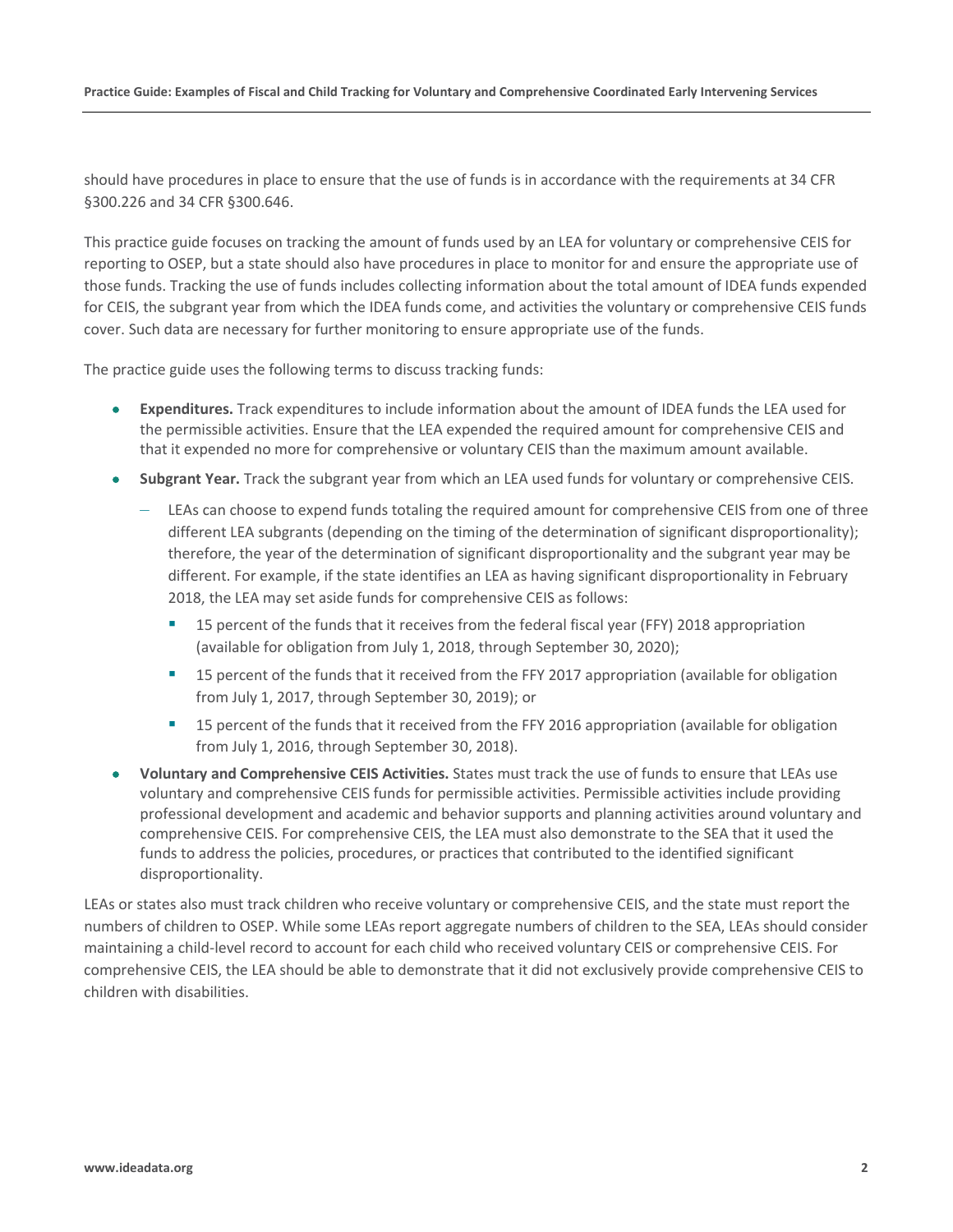should have procedures in place to ensure that the use of funds is in accordance with the requirements at 34 CFR §300.226 and 34 CFR §300.646.

This practice guide focuses on tracking the amount of funds used by an LEA for voluntary or comprehensive CEIS for reporting to OSEP, but a state should also have procedures in place to monitor for and ensure the appropriate use of those funds. Tracking the use of funds includes collecting information about the total amount of IDEA funds expended for CEIS, the subgrant year from which the IDEA funds come, and activities the voluntary or comprehensive CEIS funds cover. Such data are necessary for further monitoring to ensure appropriate use of the funds.

The practice guide uses the following terms to discuss tracking funds:

- **Expenditures.** Track expenditures to include information about the amount of IDEA funds the LEA used for the permissible activities. Ensure that the LEA expended the required amount for comprehensive CEIS and that it expended no more for comprehensive or voluntary CEIS than the maximum amount available.
- **Subgrant Year.** Track the subgrant year from which an LEA used funds for voluntary or comprehensive CEIS.
	- LEAs can choose to expend funds totaling the required amount for comprehensive CEIS from one of three different LEA subgrants (depending on the timing of the determination of significant disproportionality); therefore, the year of the determination of significant disproportionality and the subgrant year may be different. For example, if the state identifies an LEA as having significant disproportionality in February 2018, the LEA may set aside funds for comprehensive CEIS as follows:
		- **15 percent of the funds that it receives from the federal fiscal year (FFY) 2018 appropriation** (available for obligation from July 1, 2018, through September 30, 2020);
		- **15 percent of the funds that it received from the FFY 2017 appropriation (available for obligation** from July 1, 2017, through September 30, 2019); or
		- **15 percent of the funds that it received from the FFY 2016 appropriation (available for obligation** from July 1, 2016, through September 30, 2018).
- **Voluntary and Comprehensive CEIS Activities.** States must track the use of funds to ensure that LEAs use voluntary and comprehensive CEIS funds for permissible activities. Permissible activities include providing professional development and academic and behavior supports and planning activities around voluntary and comprehensive CEIS. For comprehensive CEIS, the LEA must also demonstrate to the SEA that it used the funds to address the policies, procedures, or practices that contributed to the identified significant disproportionality.

LEAs or states also must track children who receive voluntary or comprehensive CEIS, and the state must report the numbers of children to OSEP. While some LEAs report aggregate numbers of children to the SEA, LEAs should consider maintaining a child-level record to account for each child who received voluntary CEIS or comprehensive CEIS. For comprehensive CEIS, the LEA should be able to demonstrate that it did not exclusively provide comprehensive CEIS to children with disabilities.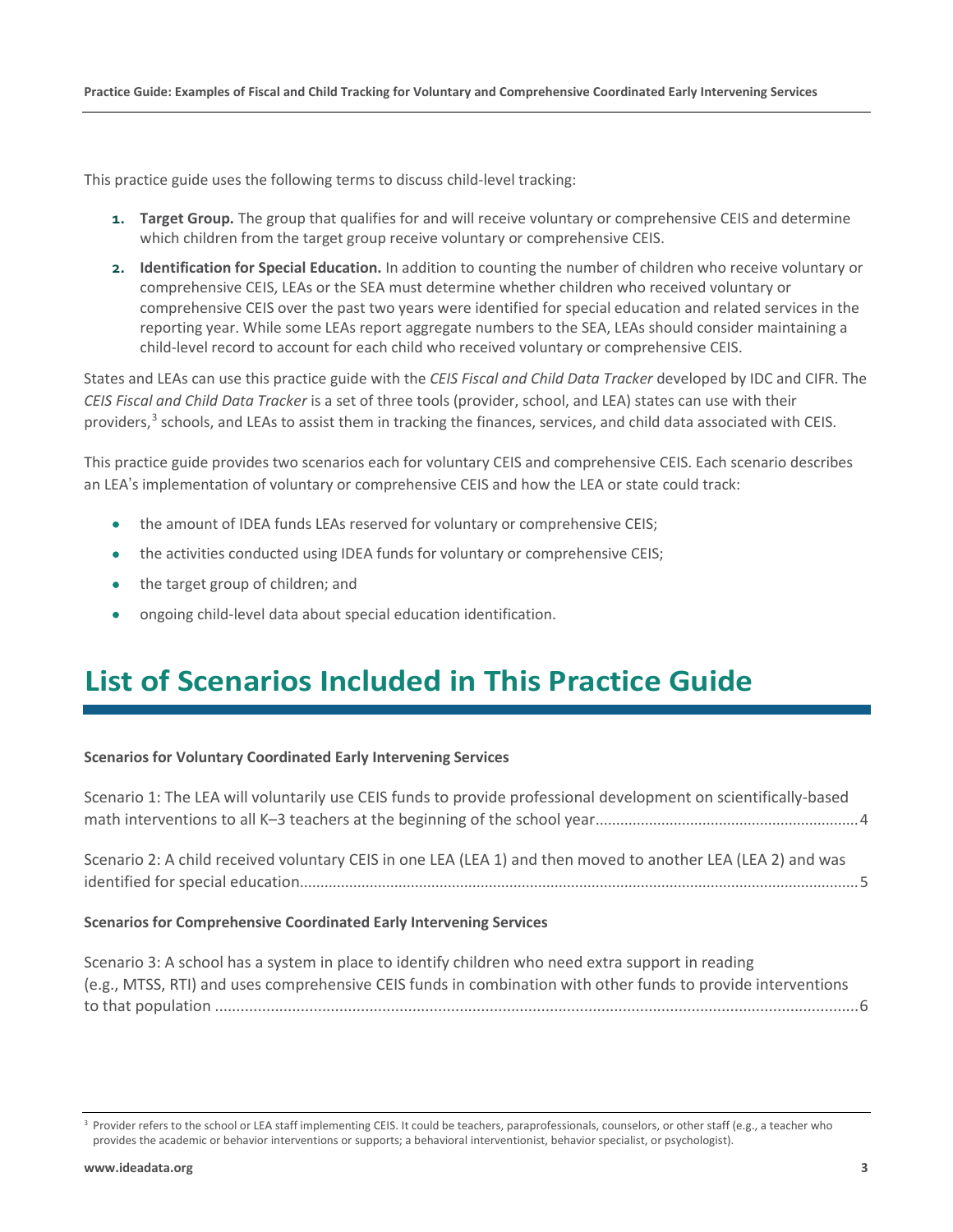This practice guide uses the following terms to discuss child-level tracking:

- **1. Target Group.** The group that qualifies for and will receive voluntary or comprehensive CEIS and determine which children from the target group receive voluntary or comprehensive CEIS.
- **2. Identification for Special Education.** In addition to counting the number of children who receive voluntary or comprehensive CEIS, LEAs or the SEA must determine whether children who received voluntary or comprehensive CEIS over the past two years were identified for special education and related services in the reporting year. While some LEAs report aggregate numbers to the SEA, LEAs should consider maintaining a child-level record to account for each child who received voluntary or comprehensive CEIS.

States and LEAs can use this practice guide with the *CEIS Fiscal and Child Data Tracker* developed by IDC and CIFR. The *CEIS Fiscal and Child Data Tracker* is a set of three tools (provider, school, and LEA) states can use with their providers,<sup>[3](#page-5-1)</sup> schools, and LEAs to assist them in tracking the finances, services, and child data associated with CEIS.

This practice guide provides two scenarios each for voluntary CEIS and comprehensive CEIS. Each scenario describes an LEA's implementation of voluntary or comprehensive CEIS and how the LEA or state could track:

- the amount of IDEA funds LEAs reserved for voluntary or comprehensive CEIS;
- the activities conducted using IDEA funds for voluntary or comprehensive CEIS;
- the target group of children; and
- ongoing child-level data about special education identification.

# <span id="page-5-0"></span>**List of Scenarios Included in This Practice Guide**

#### **Scenarios for Voluntary Coordinated Early Intervening Services**

| Scenario 1: The LEA will voluntarily use CEIS funds to provide professional development on scientifically-based |  |
|-----------------------------------------------------------------------------------------------------------------|--|
| Scenario 2: A child received voluntary CEIS in one LEA (LEA 1) and then moved to another LEA (LEA 2) and was    |  |

#### **Scenarios for Comprehensive Coordinated Early Intervening Services**

[Scenario 3: A school has a system in place to identify children who need extra support in reading](#page-8-1)  (e.g., MTSS, RTI) and uses comprehensive CEIS [funds in combination with other funds to provide interventions](#page-8-1)  to that population [......................................................................................................................................................6](#page-8-1)

<span id="page-5-1"></span><sup>&</sup>lt;sup>3</sup> Provider refers to the school or LEA staff implementing CEIS. It could be teachers, paraprofessionals, counselors, or other staff (e.g., a teacher who provides the academic or behavior interventions or supports; a behavioral interventionist, behavior specialist, or psychologist).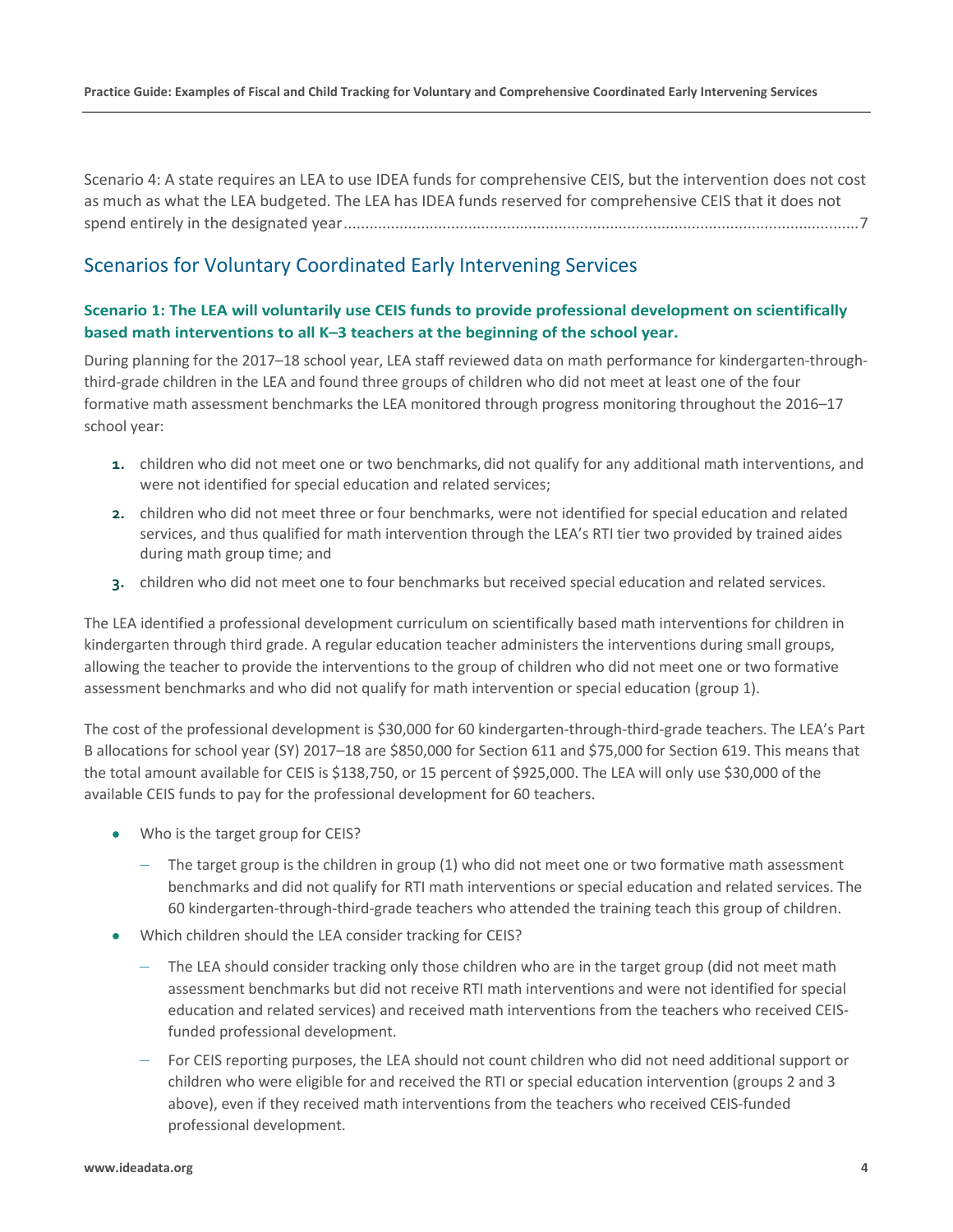[Scenario 4: A state requires an LEA to use IDEA funds for comprehensive CEIS, but the intervention does not cost](#page-9-0)  [as much as what the LEA budgeted. The LEA has IDEA funds reserved for comprehensive CEIS that it does not](#page-9-0)  [spend entirely in the designated year........................................................................................................................7](#page-9-0)

# <span id="page-6-0"></span>Scenarios for Voluntary Coordinated Early Intervening Services

### <span id="page-6-1"></span>**Scenario 1: The LEA will voluntarily use CEIS funds to provide professional development on scientifically based math interventions to all K–3 teachers at the beginning of the school year.**

During planning for the 2017–18 school year, LEA staff reviewed data on math performance for kindergarten-throughthird-grade children in the LEA and found three groups of children who did not meet at least one of the four formative math assessment benchmarks the LEA monitored through progress monitoring throughout the 2016–17 school year:

- **1.** children who did not meet one or two benchmarks, did not qualify for any additional math interventions, and were not identified for special education and related services;
- **2.** children who did not meet three or four benchmarks, were not identified for special education and related services, and thus qualified for math intervention through the LEA's RTI tier two provided by trained aides during math group time; and
- **3.** children who did not meet one to four benchmarks but received special education and related services.

The LEA identified a professional development curriculum on scientifically based math interventions for children in kindergarten through third grade. A regular education teacher administers the interventions during small groups, allowing the teacher to provide the interventions to the group of children who did not meet one or two formative assessment benchmarks and who did not qualify for math intervention or special education (group 1).

The cost of the professional development is \$30,000 for 60 kindergarten-through-third-grade teachers. The LEA's Part B allocations for school year (SY) 2017–18 are \$850,000 for Section 611 and \$75,000 for Section 619. This means that the total amount available for CEIS is \$138,750, or 15 percent of \$925,000. The LEA will only use \$30,000 of the available CEIS funds to pay for the professional development for 60 teachers.

- Who is the target group for CEIS?
	- The target group is the children in group (1) who did not meet one or two formative math assessment benchmarks and did not qualify for RTI math interventions or special education and related services. The 60 kindergarten-through-third-grade teachers who attended the training teach this group of children.
- Which children should the LEA consider tracking for CEIS?
	- The LEA should consider tracking only those children who are in the target group (did not meet math assessment benchmarks but did not receive RTI math interventions and were not identified for special education and related services) and received math interventions from the teachers who received CEISfunded professional development.
	- For CEIS reporting purposes, the LEA should not count children who did not need additional support or children who were eligible for and received the RTI or special education intervention (groups 2 and 3 above), even if they received math interventions from the teachers who received CEIS-funded professional development.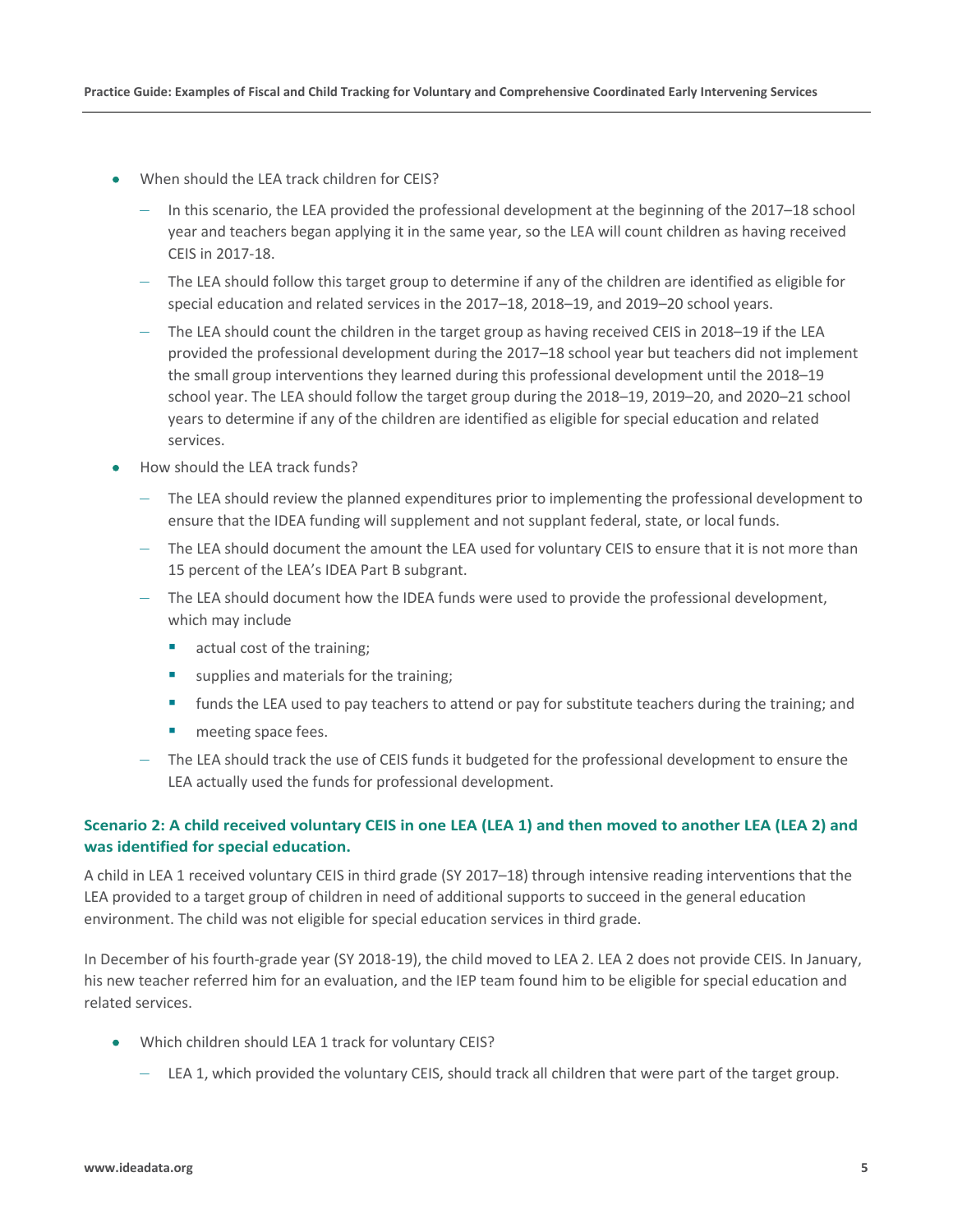- When should the LEA track children for CEIS?
	- In this scenario, the LEA provided the professional development at the beginning of the 2017–18 school year and teachers began applying it in the same year, so the LEA will count children as having received CEIS in 2017-18.
	- The LEA should follow this target group to determine if any of the children are identified as eligible for special education and related services in the 2017–18, 2018–19, and 2019–20 school years.
	- The LEA should count the children in the target group as having received CEIS in 2018–19 if the LEA provided the professional development during the 2017–18 school year but teachers did not implement the small group interventions they learned during this professional development until the 2018–19 school year. The LEA should follow the target group during the 2018–19, 2019–20, and 2020–21 school years to determine if any of the children are identified as eligible for special education and related services.
- How should the LEA track funds?
	- The LEA should review the planned expenditures prior to implementing the professional development to ensure that the IDEA funding will supplement and not supplant federal, state, or local funds.
	- The LEA should document the amount the LEA used for voluntary CEIS to ensure that it is not more than 15 percent of the LEA's IDEA Part B subgrant.
	- The LEA should document how the IDEA funds were used to provide the professional development, which may include
		- **actual cost of the training;**
		- supplies and materials for the training;
		- **funds the LEA used to pay teachers to attend or pay for substitute teachers during the training; and**
		- **neeting space fees.**
	- The LEA should track the use of CEIS funds it budgeted for the professional development to ensure the LEA actually used the funds for professional development.

## <span id="page-7-0"></span>**Scenario 2: A child received voluntary CEIS in one LEA (LEA 1) and then moved to another LEA (LEA 2) and was identified for special education.**

A child in LEA 1 received voluntary CEIS in third grade (SY 2017–18) through intensive reading interventions that the LEA provided to a target group of children in need of additional supports to succeed in the general education environment. The child was not eligible for special education services in third grade.

In December of his fourth-grade year (SY 2018-19), the child moved to LEA 2. LEA 2 does not provide CEIS. In January, his new teacher referred him for an evaluation, and the IEP team found him to be eligible for special education and related services.

- Which children should LEA 1 track for voluntary CEIS?
	- LEA 1, which provided the voluntary CEIS, should track all children that were part of the target group.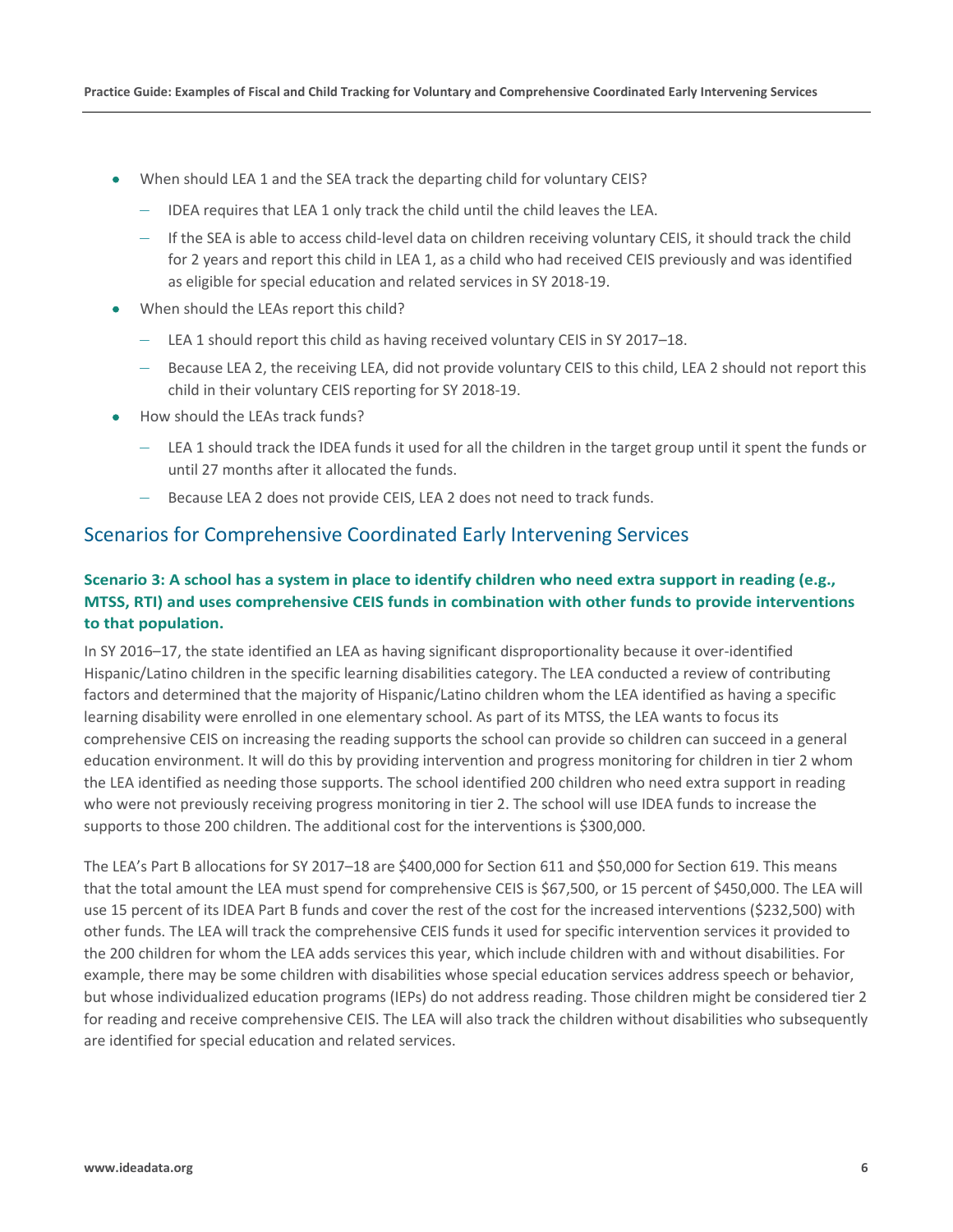- When should LEA 1 and the SEA track the departing child for voluntary CEIS?
	- IDEA requires that LEA 1 only track the child until the child leaves the LEA.
	- If the SEA is able to access child-level data on children receiving voluntary CEIS, it should track the child for 2 years and report this child in LEA 1, as a child who had received CEIS previously and was identified as eligible for special education and related services in SY 2018-19.
- When should the LEAs report this child?
	- LEA 1 should report this child as having received voluntary CEIS in SY 2017–18.
	- Because LEA 2, the receiving LEA, did not provide voluntary CEIS to this child, LEA 2 should not report this child in their voluntary CEIS reporting for SY 2018-19.
- How should the LEAs track funds?
	- LEA 1 should track the IDEA funds it used for all the children in the target group until it spent the funds or until 27 months after it allocated the funds.
	- Because LEA 2 does not provide CEIS, LEA 2 does not need to track funds.

## <span id="page-8-0"></span>Scenarios for Comprehensive Coordinated Early Intervening Services

## <span id="page-8-1"></span>**Scenario 3: A school has a system in place to identify children who need extra support in reading (e.g., MTSS, RTI) and uses comprehensive CEIS funds in combination with other funds to provide interventions to that population.**

In SY 2016–17, the state identified an LEA as having significant disproportionality because it over-identified Hispanic/Latino children in the specific learning disabilities category. The LEA conducted a review of contributing factors and determined that the majority of Hispanic/Latino children whom the LEA identified as having a specific learning disability were enrolled in one elementary school. As part of its MTSS, the LEA wants to focus its comprehensive CEIS on increasing the reading supports the school can provide so children can succeed in a general education environment. It will do this by providing intervention and progress monitoring for children in tier 2 whom the LEA identified as needing those supports. The school identified 200 children who need extra support in reading who were not previously receiving progress monitoring in tier 2. The school will use IDEA funds to increase the supports to those 200 children. The additional cost for the interventions is \$300,000.

The LEA's Part B allocations for SY 2017–18 are \$400,000 for Section 611 and \$50,000 for Section 619. This means that the total amount the LEA must spend for comprehensive CEIS is \$67,500, or 15 percent of \$450,000. The LEA will use 15 percent of its IDEA Part B funds and cover the rest of the cost for the increased interventions (\$232,500) with other funds. The LEA will track the comprehensive CEIS funds it used for specific intervention services it provided to the 200 children for whom the LEA adds services this year, which include children with and without disabilities. For example, there may be some children with disabilities whose special education services address speech or behavior, but whose individualized education programs (IEPs) do not address reading. Those children might be considered tier 2 for reading and receive comprehensive CEIS. The LEA will also track the children without disabilities who subsequently are identified for special education and related services.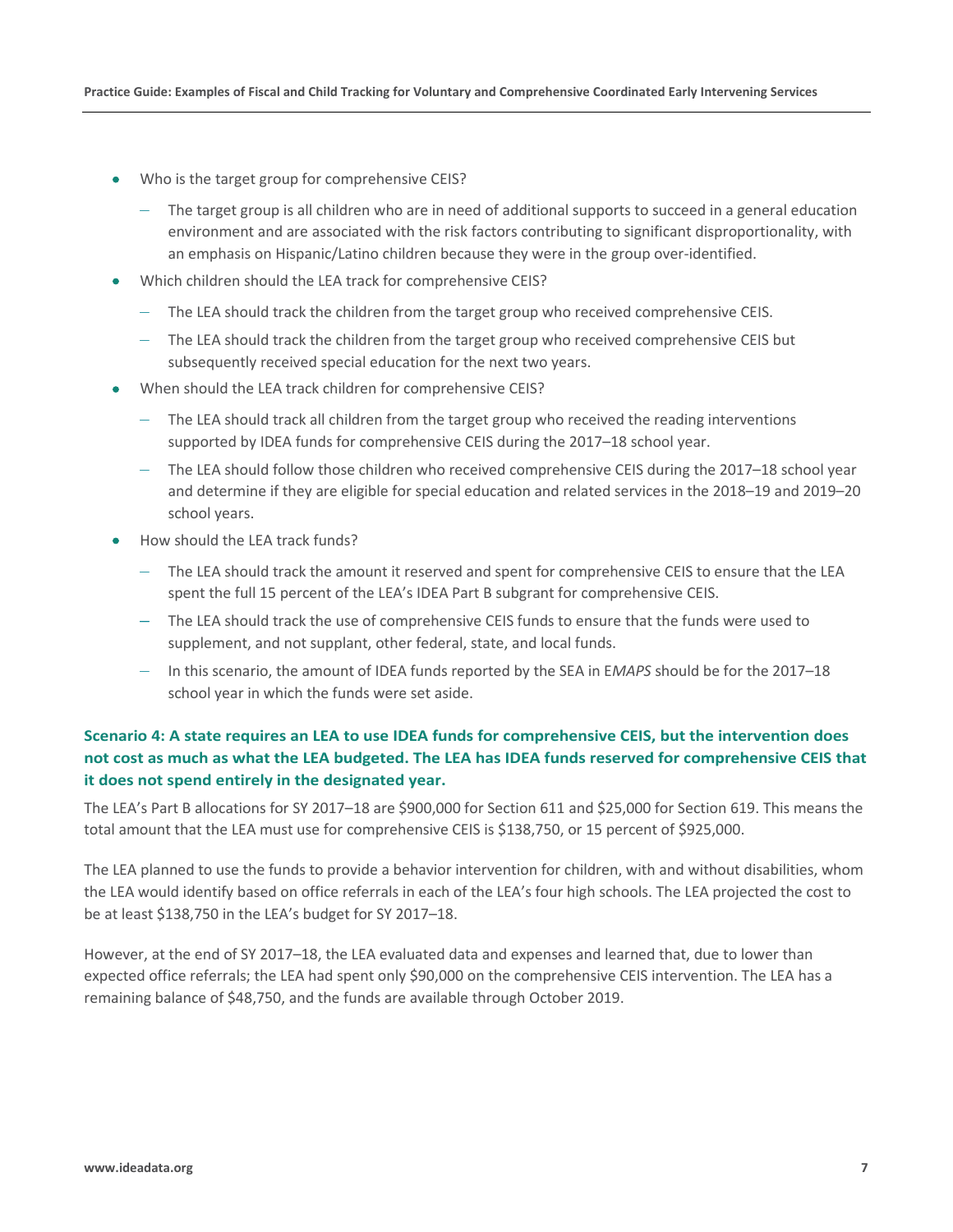- Who is the target group for comprehensive CEIS?
	- The target group is all children who are in need of additional supports to succeed in a general education environment and are associated with the risk factors contributing to significant disproportionality, with an emphasis on Hispanic/Latino children because they were in the group over-identified.
- Which children should the LEA track for comprehensive CEIS?
	- The LEA should track the children from the target group who received comprehensive CEIS.
	- The LEA should track the children from the target group who received comprehensive CEIS but subsequently received special education for the next two years.
- When should the LEA track children for comprehensive CEIS?
	- The LEA should track all children from the target group who received the reading interventions supported by IDEA funds for comprehensive CEIS during the 2017–18 school year.
	- The LEA should follow those children who received comprehensive CEIS during the 2017–18 school year and determine if they are eligible for special education and related services in the 2018–19 and 2019–20 school years.
- How should the LEA track funds?
	- The LEA should track the amount it reserved and spent for comprehensive CEIS to ensure that the LEA spent the full 15 percent of the LEA's IDEA Part B subgrant for comprehensive CEIS.
	- The LEA should track the use of comprehensive CEIS funds to ensure that the funds were used to supplement, and not supplant, other federal, state, and local funds.
	- In this scenario, the amount of IDEA funds reported by the SEA in E*MAPS* should be for the 2017–18 school year in which the funds were set aside.

## <span id="page-9-0"></span>**Scenario 4: A state requires an LEA to use IDEA funds for comprehensive CEIS, but the intervention does not cost as much as what the LEA budgeted. The LEA has IDEA funds reserved for comprehensive CEIS that it does not spend entirely in the designated year.**

The LEA's Part B allocations for SY 2017–18 are \$900,000 for Section 611 and \$25,000 for Section 619. This means the total amount that the LEA must use for comprehensive CEIS is \$138,750, or 15 percent of \$925,000.

The LEA planned to use the funds to provide a behavior intervention for children, with and without disabilities, whom the LEA would identify based on office referrals in each of the LEA's four high schools. The LEA projected the cost to be at least \$138,750 in the LEA's budget for SY 2017–18.

However, at the end of SY 2017–18, the LEA evaluated data and expenses and learned that, due to lower than expected office referrals; the LEA had spent only \$90,000 on the comprehensive CEIS intervention. The LEA has a remaining balance of \$48,750, and the funds are available through October 2019.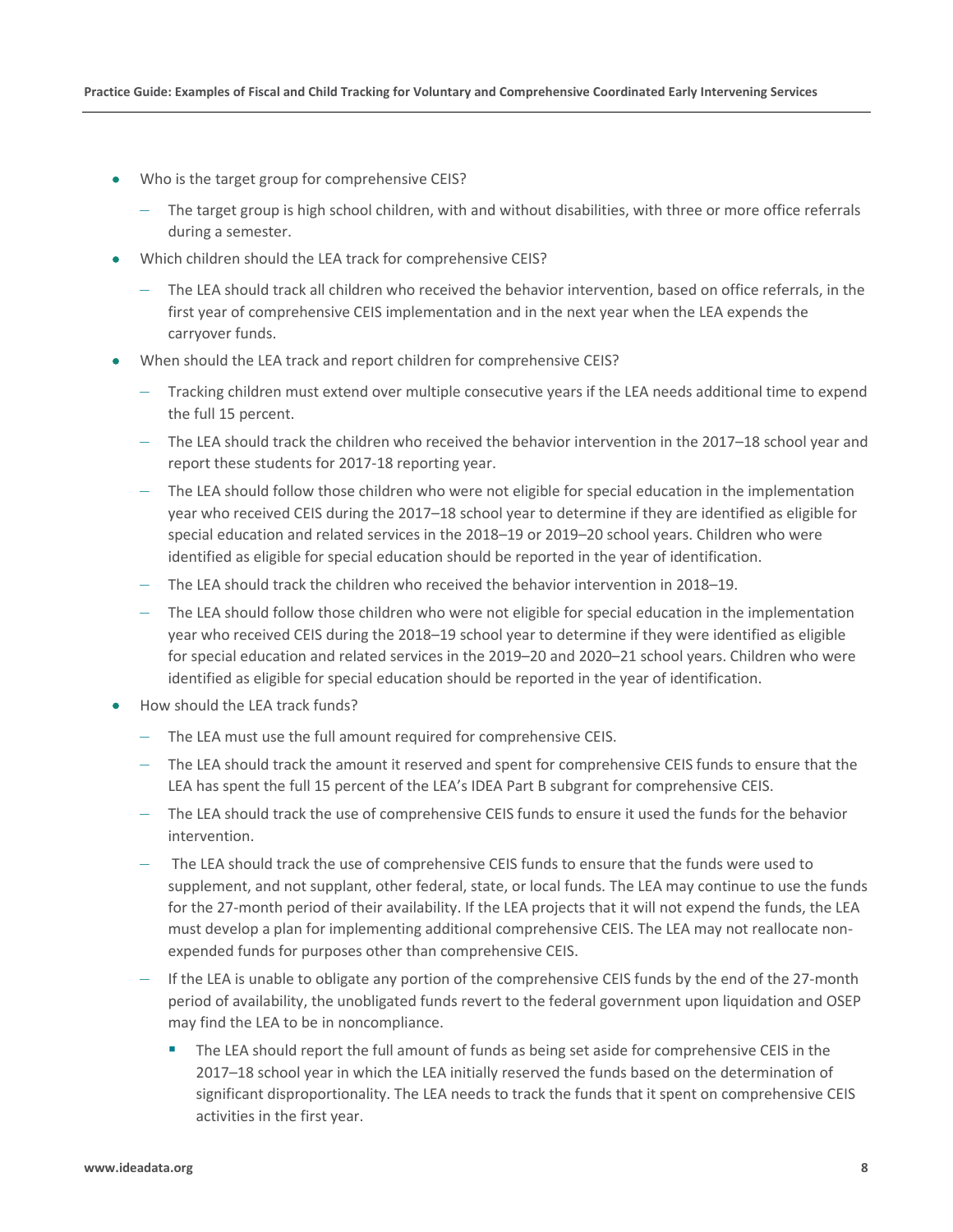- Who is the target group for comprehensive CEIS?
	- The target group is high school children, with and without disabilities, with three or more office referrals during a semester.
- Which children should the LEA track for comprehensive CEIS?
	- The LEA should track all children who received the behavior intervention, based on office referrals, in the first year of comprehensive CEIS implementation and in the next year when the LEA expends the carryover funds.
- When should the LEA track and report children for comprehensive CEIS?
	- Tracking children must extend over multiple consecutive years if the LEA needs additional time to expend the full 15 percent.
	- The LEA should track the children who received the behavior intervention in the 2017–18 school year and report these students for 2017-18 reporting year.
	- The LEA should follow those children who were not eligible for special education in the implementation year who received CEIS during the 2017–18 school year to determine if they are identified as eligible for special education and related services in the 2018–19 or 2019–20 school years. Children who were identified as eligible for special education should be reported in the year of identification.
	- The LEA should track the children who received the behavior intervention in 2018–19.
	- The LEA should follow those children who were not eligible for special education in the implementation year who received CEIS during the 2018–19 school year to determine if they were identified as eligible for special education and related services in the 2019–20 and 2020–21 school years. Children who were identified as eligible for special education should be reported in the year of identification.
- How should the LEA track funds?
	- The LEA must use the full amount required for comprehensive CEIS.
	- The LEA should track the amount it reserved and spent for comprehensive CEIS funds to ensure that the LEA has spent the full 15 percent of the LEA's IDEA Part B subgrant for comprehensive CEIS.
	- The LEA should track the use of comprehensive CEIS funds to ensure it used the funds for the behavior intervention.
	- The LEA should track the use of comprehensive CEIS funds to ensure that the funds were used to supplement, and not supplant, other federal, state, or local funds. The LEA may continue to use the funds for the 27-month period of their availability. If the LEA projects that it will not expend the funds, the LEA must develop a plan for implementing additional comprehensive CEIS. The LEA may not reallocate nonexpended funds for purposes other than comprehensive CEIS.
	- If the LEA is unable to obligate any portion of the comprehensive CEIS funds by the end of the 27-month period of availability, the unobligated funds revert to the federal government upon liquidation and OSEP may find the LEA to be in noncompliance.
		- The LEA should report the full amount of funds as being set aside for comprehensive CEIS in the 2017–18 school year in which the LEA initially reserved the funds based on the determination of significant disproportionality. The LEA needs to track the funds that it spent on comprehensive CEIS activities in the first year.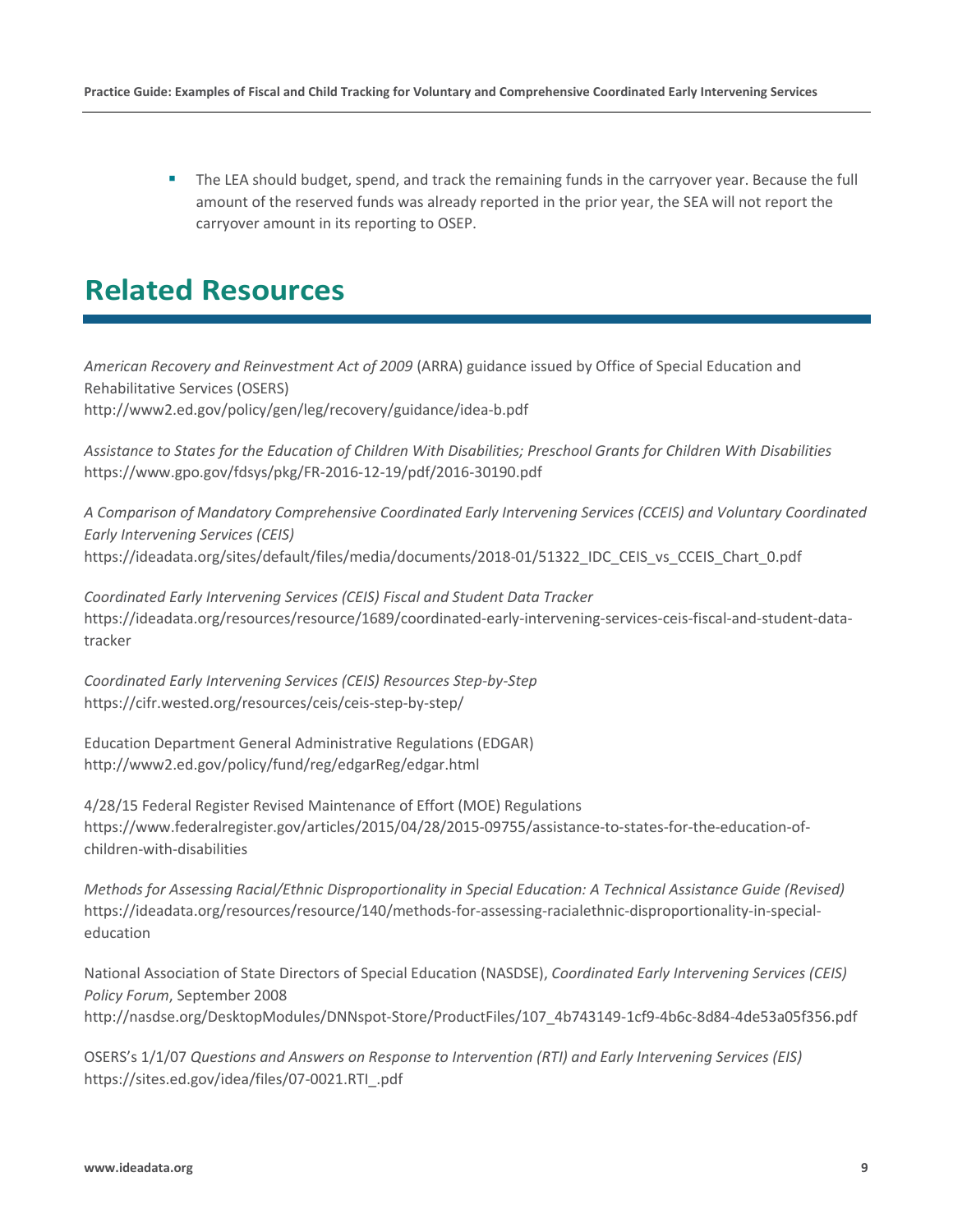The LEA should budget, spend, and track the remaining funds in the carryover year. Because the full amount of the reserved funds was already reported in the prior year, the SEA will not report the carryover amount in its reporting to OSEP.

# <span id="page-11-0"></span>**Related Resources**

*American Recovery and Reinvestment Act of 2009* (ARRA) guidance issued by Office of Special Education and Rehabilitative Services (OSERS) <http://www2.ed.gov/policy/gen/leg/recovery/guidance/idea-b.pdf>

*Assistance to States for the Education of Children With Disabilities; Preschool Grants for Children With Disabilities* <https://www.gpo.gov/fdsys/pkg/FR-2016-12-19/pdf/2016-30190.pdf>

*A Comparison of Mandatory Comprehensive Coordinated Early Intervening Services (CCEIS) and Voluntary Coordinated Early Intervening Services (CEIS)*  [https://ideadata.org/sites/default/files/media/documents/2018-01/51322\\_IDC\\_CEIS\\_vs\\_CCEIS\\_Chart\\_0.pdf](https://ideadata.org/sites/default/files/media/documents/2018-01/51322_IDC_CEIS_vs_CCEIS_Chart_0.pdf)

*Coordinated Early Intervening Services (CEIS) Fiscal and Student Data Tracker*  [https://ideadata.org/resources/resource/1689/coordinated-early-intervening-services-ceis-fiscal-and-student-data](https://ideadata.org/resources/resource/1689/coordinated-early-intervening-services-ceis-fiscal-and-student-data-tracker)[tracker](https://ideadata.org/resources/resource/1689/coordinated-early-intervening-services-ceis-fiscal-and-student-data-tracker)

*Coordinated Early Intervening Services (CEIS) Resources Step-by-Step*  <https://cifr.wested.org/resources/ceis/ceis-step-by-step/>

Education Department General Administrative Regulations (EDGAR) <http://www2.ed.gov/policy/fund/reg/edgarReg/edgar.html>

4/28/15 Federal Register Revised Maintenance of Effort (MOE) Regulations [https://www.federalregister.gov/articles/2015/04/28/2015-09755/assistance-to-states-for-the-education-of](https://www.federalregister.gov/articles/2015/04/28/2015-09755/assistance-to-states-for-the-education-of-children-with-disabilities)[children-with-disabilities](https://www.federalregister.gov/articles/2015/04/28/2015-09755/assistance-to-states-for-the-education-of-children-with-disabilities) 

*Methods for Assessing Racial/Ethnic Disproportionality in Special Education: A Technical Assistance Guide (Revised)*  [https://ideadata.org/resources/resource/140/methods-for-assessing-racialethnic-disproportionality-in-special](https://ideadata.org/resources/resource/140/methods-for-assessing-racialethnic-disproportionality-in-special-education)[education](https://ideadata.org/resources/resource/140/methods-for-assessing-racialethnic-disproportionality-in-special-education)

National Association of State Directors of Special Education (NASDSE), *Coordinated Early Intervening Services (CEIS) Policy Forum*, September 2008 [http://nasdse.org/DesktopModules/DNNspot-Store/ProductFiles/107\\_4b743149-1cf9-4b6c-8d84-4de53a05f356.pdf](http://nasdse.org/DesktopModules/DNNspot-Store/ProductFiles/107_4b743149-1cf9-4b6c-8d84-4de53a05f356.pdf)

OSERS's 1/1/07 *Questions and Answers on Response to Intervention (RTI) and Early Intervening Services (EIS)*  [https://sites.ed.gov/idea/files/07-0021.RTI\\_.pdf](https://sites.ed.gov/idea/files/07-0021.RTI_.pdf)